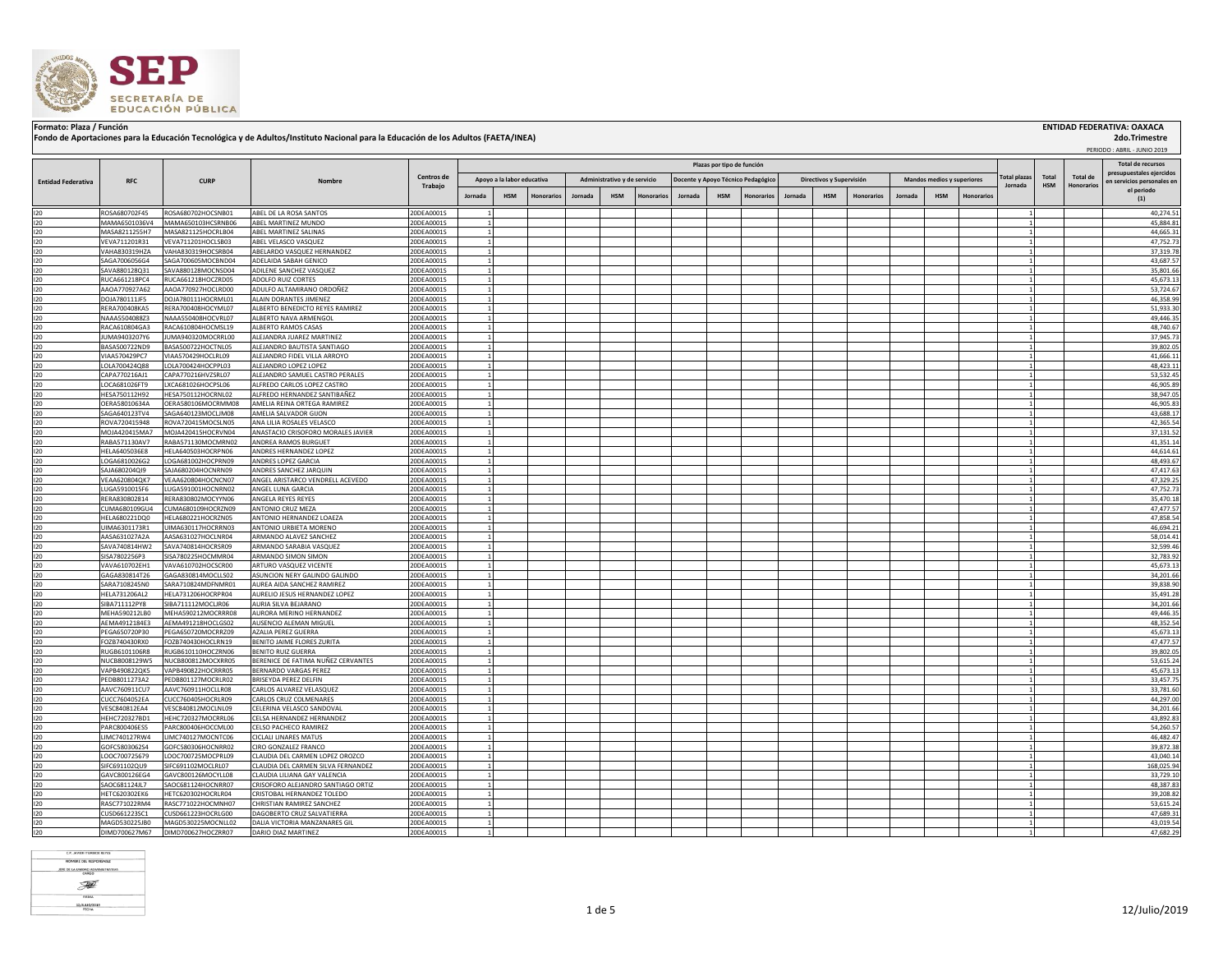

## Formato: Plaza / Función **ENTIDAD FEDERATIVA: OAXACA (INSTITUA) ENTIDAD FEDERATIVA: OAXACA**<br>Fondo de Aportaciones para la Educación Tecnológica y de Adultos/Instituto Nacional para la Educación de los Adultos (FAETA/INEA)

 PERIODO : ABRIL - JUNIO 2019  **2do.Trimestre**

|                           |                                |                                          |                                                                 |                          | Plazas por tipo de función |                            |            |         |                              |           |         |            |                                    |         |                          |                   |                                                  |            | <b>Total de recursos</b> |         |              |                   |                                          |
|---------------------------|--------------------------------|------------------------------------------|-----------------------------------------------------------------|--------------------------|----------------------------|----------------------------|------------|---------|------------------------------|-----------|---------|------------|------------------------------------|---------|--------------------------|-------------------|--------------------------------------------------|------------|--------------------------|---------|--------------|-------------------|------------------------------------------|
|                           |                                |                                          |                                                                 | Centros de               |                            | Apovo a la labor educativa |            |         |                              |           |         |            |                                    |         |                          |                   | otal plazas<br><b>Mandos medios y superiores</b> |            |                          |         | <b>Total</b> | Total de          | presupuestales ejercidos                 |
| <b>Entidad Federativa</b> | <b>RFC</b>                     | <b>CURP</b>                              |                                                                 | Trabajo                  |                            |                            |            |         | Administrativo y de servicio |           |         |            | Docente y Apoyo Técnico Pedagógico |         | Directivos y Supervisión |                   |                                                  |            |                          | Jornada | <b>HSM</b>   | <b>Honorarios</b> | en servicios personales en<br>el periodo |
|                           |                                |                                          |                                                                 |                          | Jornada                    | <b>HSM</b>                 | Honorario: | Jornada | <b>HSM</b>                   | Honorario | Jornada | <b>HSM</b> | Honorario                          | Jornada | <b>HSM</b>               | <b>Honorarios</b> | Jornada                                          | <b>HSM</b> | Honorario                |         |              |                   | (1)                                      |
| 120                       | ROSA680702F45                  | ROSA680702HOCSNB01                       | ABEL DE LA ROSA SANTOS                                          | 20DEA0001S               |                            |                            |            |         |                              |           |         |            |                                    |         |                          |                   |                                                  |            |                          |         |              |                   | 40,274.51                                |
| 120                       | MAMA6501036V4                  | MAMA650103HCSRNB06                       | ABEL MARTINEZ MUNDO                                             | 20DEA0001S               |                            |                            |            |         |                              |           |         |            |                                    |         |                          |                   |                                                  |            |                          |         |              |                   | 45,884.81                                |
| 120                       | MASA8211255H7                  | MASA821125HOCRLB04                       | ABEL MARTINEZ SALINAS                                           | 20DEA0001S               |                            |                            |            |         |                              |           |         |            |                                    |         |                          |                   |                                                  |            |                          |         |              |                   | 44,665.31                                |
| 120                       | VEVA711201R31                  | VEVA711201HOCLSB03                       | ABEL VELASCO VASQUEZ                                            | 20DEA0001S               |                            |                            |            |         |                              |           |         |            |                                    |         |                          |                   |                                                  |            |                          |         |              |                   | 47,752.73                                |
| 120                       | VAHA830319HZA                  | VAHA830319HOCSRB04                       | ABELARDO VASQUEZ HERNANDEZ                                      | 20DEA0001S               |                            |                            |            |         |                              |           |         |            |                                    |         |                          |                   |                                                  |            |                          |         |              |                   | 37,319.78                                |
| 120                       | SAGA7006056G4                  | SAGA700605MOCBND04                       | ADELAIDA SABAH GENICO                                           | 20DEA0001S               |                            |                            |            |         |                              |           |         |            |                                    |         |                          |                   |                                                  |            |                          |         |              |                   | 43,687.57                                |
| 120                       | SAVA880128Q31                  | SAVA880128MOCNSD04                       | ADILENE SANCHEZ VASQUEZ                                         | 20DEA0001S               |                            |                            |            |         |                              |           |         |            |                                    |         |                          |                   |                                                  |            |                          |         |              |                   | 35,801.66                                |
| 120<br>120                | RUCA661218PC4                  | RUCA661218HOCZRD05<br>AAOA770927HOCLRD00 | ADOLFO RUIZ CORTES<br>ADULFO ALTAMIRANO ORDOÑEZ                 | 20DEA0001S               |                            |                            |            |         |                              |           |         |            |                                    |         |                          |                   |                                                  |            |                          |         |              |                   | 45,673.13<br>53,724.67                   |
| 120                       | AAOA770927A62<br>DOJA780111JF5 | DOJA780111HOCRML01                       | ALAIN DORANTES JIMENEZ                                          | 20DEA0001S<br>20DEA0001S |                            |                            |            |         |                              |           |         |            |                                    |         |                          |                   |                                                  |            |                          |         |              |                   | 46,358.99                                |
| 120                       | RERA700408KA5                  | RERA700408HOCYML07                       | ALBERTO BENEDICTO REYES RAMIREZ                                 | 20DEA0001S               |                            |                            |            |         |                              |           |         |            |                                    |         |                          |                   |                                                  |            |                          |         |              |                   | 51,933.30                                |
| 120                       | NAAA5504088Z3                  | NAAA550408HOCVRL07                       | ALBERTO NAVA ARMENGOL                                           | 20DEA0001S               |                            |                            |            |         |                              |           |         |            |                                    |         |                          |                   |                                                  |            |                          |         |              |                   | 49,446.35                                |
| 120                       | RACA610804GA3                  | RACA610804HOCMSL19                       | ALBERTO RAMOS CASAS                                             | 20DEA0001S               |                            |                            |            |         |                              |           |         |            |                                    |         |                          |                   |                                                  |            |                          |         |              |                   | 48,740.67                                |
| 120                       | JUMA9403207Y6                  | JUMA940320MOCRRL00                       | ALEJANDRA JUAREZ MARTINEZ                                       | 20DEA0001S               |                            |                            |            |         |                              |           |         |            |                                    |         |                          |                   |                                                  |            |                          |         |              |                   | 37,945.73                                |
| 120                       | BASA500722ND9                  | BASA500722HOCTNL05                       | ALEJANDRO BAUTISTA SANTIAGO                                     | 20DEA0001S               |                            |                            |            |         |                              |           |         |            |                                    |         |                          |                   |                                                  |            |                          |         |              |                   | 39,802.05                                |
| 120                       | VIAA570429PC7                  | VIAA570429HOCLRL09                       | ALEJANDRO FIDEL VILLA ARROYO                                    | 20DEA0001S               |                            |                            |            |         |                              |           |         |            |                                    |         |                          |                   |                                                  |            |                          |         |              |                   | 41,666.11                                |
| 120                       | LOLA700424Q88                  | LOLA700424HOCPPL03                       | ALEJANDRO LOPEZ LOPEZ                                           | 20DEA0001S               |                            |                            |            |         |                              |           |         |            |                                    |         |                          |                   |                                                  |            |                          |         |              |                   | 48,423.11                                |
| 120                       | CAPA770216AJ1                  | CAPA770216HVZSRL07                       | ALEJANDRO SAMUEL CASTRO PERALES                                 | 20DEA0001S               |                            |                            |            |         |                              |           |         |            |                                    |         |                          |                   |                                                  |            |                          |         |              |                   | 53,532.45                                |
| 120                       | LOCA681026FT9                  | LXCA681026HOCPSL06                       | ALFREDO CARLOS LOPEZ CASTRO                                     | 20DEA0001S               |                            |                            |            |         |                              |           |         |            |                                    |         |                          |                   |                                                  |            |                          |         |              |                   | 46,905.89                                |
| 120                       | HESA750112H92                  | HESA750112HOCRNL02                       | ALFREDO HERNANDEZ SANTIBAÑEZ                                    | 20DEA0001S               |                            |                            |            |         |                              |           |         |            |                                    |         |                          |                   |                                                  |            |                          |         |              |                   | 38,947.05                                |
| 120                       | OERA58010634A                  | OERA580106MOCRMM08                       | AMELIA REINA ORTEGA RAMIREZ                                     | 20DEA0001S               |                            |                            |            |         |                              |           |         |            |                                    |         |                          |                   |                                                  |            |                          |         |              |                   | 46.905.83                                |
| 120                       | SAGA640123TV4                  | SAGA640123MOCLJM08                       | AMELIA SALVADOR GIJON                                           | 20DEA0001S               |                            |                            |            |         |                              |           |         |            |                                    |         |                          |                   |                                                  |            |                          |         |              |                   | 43,688.17<br>42,365.54                   |
| 120<br>120                | ROVA720415948<br>MOJA420415MA7 | ROVA720415MOCSLN05<br>MOJA420415HOCRVN04 | ANA LILIA ROSALES VELASCO<br>ANASTACIO CRISOFORO MORALES JAVIER | 20DEA0001S<br>20DEA0001S |                            |                            |            |         |                              |           |         |            |                                    |         |                          |                   |                                                  |            |                          |         |              |                   | 37,131.52                                |
| 120                       | RABA571130AV7                  | RABA571130MOCMRN02                       | ANDREA RAMOS BURGUET                                            | 20DEA0001S               |                            |                            |            |         |                              |           |         |            |                                    |         |                          |                   |                                                  |            |                          |         |              |                   | 41,351.14                                |
| 120                       | HELA6405036E8                  | HELA640503HOCRPN06                       | ANDRES HERNANDEZ LOPEZ                                          | 20DEA0001S               |                            |                            |            |         |                              |           |         |            |                                    |         |                          |                   |                                                  |            |                          |         |              |                   | 44,614.61                                |
| 120                       | LOGA6810026G2                  | LOGA681002HOCPRN09                       | ANDRES LOPEZ GARCIA                                             | 20DEA0001S               |                            |                            |            |         |                              |           |         |            |                                    |         |                          |                   |                                                  |            |                          |         |              |                   | 48,493.67                                |
| 120                       | SAJA680204QI9                  | SAJA680204HOCNRN09                       | ANDRES SANCHEZ JARQUIN                                          | 20DEA0001S               |                            |                            |            |         |                              |           |         |            |                                    |         |                          |                   |                                                  |            |                          |         |              |                   | 47,417.63                                |
| 120                       | VEAA620804QK7                  | VEAA620804HOCNCN07                       | ANGEL ARISTARCO VENDRELL ACEVEDO                                | 20DEA0001S               |                            |                            |            |         |                              |           |         |            |                                    |         |                          |                   |                                                  |            |                          |         |              |                   | 47,329.25                                |
| 120                       | LUGA5910015F6                  | LUGA591001HOCNRN02                       | ANGEL LUNA GARCIA                                               | 20DEA0001S               |                            |                            |            |         |                              |           |         |            |                                    |         |                          |                   |                                                  |            |                          |         |              |                   | 47,752.73                                |
| 120                       | RERA830802814                  | RERA830802MOCYYN06                       | ANGELA REYES REYES                                              | 20DEA0001S               |                            |                            |            |         |                              |           |         |            |                                    |         |                          |                   |                                                  |            |                          |         |              |                   | 35,470.18                                |
| 120                       | CUMA680109GU4                  | CUMA680109HOCRZN09                       | ANTONIO CRUZ MEZA                                               | 20DEA0001S               |                            |                            |            |         |                              |           |         |            |                                    |         |                          |                   |                                                  |            |                          |         |              |                   | 47.477.57                                |
| 120                       | HELA680221DQ0                  | HELA680221HOCRZN05                       | ANTONIO HERNANDEZ LOAEZA                                        | 20DEA0001S               |                            |                            |            |         |                              |           |         |            |                                    |         |                          |                   |                                                  |            |                          |         |              |                   | 47,858.54                                |
| 120                       | UIMA6301173R1                  | UIMA630117HOCRRN03                       | ANTONIO URBIETA MORENO                                          | 20DEA0001S               |                            |                            |            |         |                              |           |         |            |                                    |         |                          |                   |                                                  |            |                          |         |              |                   | 46,694.21                                |
| 120<br>120                | AASA631027A2A<br>SAVA740814HW2 | AASA631027HOCLNR04<br>SAVA740814HOCRSR09 | ARMANDO ALAVEZ SANCHEZ<br>ARMANDO SARABIA VASQUEZ               | 20DEA0001S<br>20DEA0001S |                            |                            |            |         |                              |           |         |            |                                    |         |                          |                   |                                                  |            |                          |         |              |                   | 58,014.41<br>32,599.46                   |
| 120                       | SISA7802256P3                  | SISA780225HOCMMR04                       | ARMANDO SIMON SIMON                                             | 20DEA0001S               |                            |                            |            |         |                              |           |         |            |                                    |         |                          |                   |                                                  |            |                          |         |              |                   | 32,783.92                                |
| 120                       | VAVA610702EH1                  | VAVA610702HOCSCR00                       | ARTURO VASQUEZ VICENTE                                          | 20DEA0001S               |                            |                            |            |         |                              |           |         |            |                                    |         |                          |                   |                                                  |            |                          |         |              |                   | 45,673.13                                |
| 120                       | GAGA830814T26                  | GAGA830814MOCLLS02                       | ASUNCION NERY GALINDO GALINDO                                   | 20DEA0001S               |                            |                            |            |         |                              |           |         |            |                                    |         |                          |                   |                                                  |            |                          |         |              |                   | 34,201.66                                |
| 120                       | SARA7108245N0                  | SARA710824MDFNMR01                       | AUREA AIDA SANCHEZ RAMIREZ                                      | 20DEA0001S               |                            |                            |            |         |                              |           |         |            |                                    |         |                          |                   |                                                  |            |                          |         |              |                   | 39,838.90                                |
| 120                       | HELA731206AL2                  | HELA731206HOCRPR04                       | AURELIO JESUS HERNANDEZ LOPEZ                                   | 20DEA0001S               |                            |                            |            |         |                              |           |         |            |                                    |         |                          |                   |                                                  |            |                          |         |              |                   | 35,491.28                                |
| 120                       | SIBA711112PY8                  | SIBA711112MOCLIR06                       | AURIA SILVA BEJARANO                                            | 20DEA0001S               |                            |                            |            |         |                              |           |         |            |                                    |         |                          |                   |                                                  |            |                          |         |              |                   | 34,201.66                                |
| 120                       | MEHA590212LB0                  | MEHA590212MOCRRR08                       | AURORA MERINO HERNANDEZ                                         | 20DEA0001S               |                            |                            |            |         |                              |           |         |            |                                    |         |                          |                   |                                                  |            |                          |         |              |                   | 49,446.35                                |
| 120                       | AEMA4912184E3                  | AEMA491218HOCLGS02                       | AUSENCIO ALEMAN MIGUEL                                          | 20DEA0001S               |                            |                            |            |         |                              |           |         |            |                                    |         |                          |                   |                                                  |            |                          |         |              |                   | 48,352.54                                |
| 120                       | PEGA650720P30                  | PEGA650720MOCRRZ09                       | AZALIA PEREZ GUERRA                                             | 20DEA0001S               |                            |                            |            |         |                              |           |         |            |                                    |         |                          |                   |                                                  |            |                          |         |              |                   | 45,673.13                                |
| 120                       | FOZB740430RX0                  | FOZB740430HOCLRN19                       | BENITO JAIME FLORES ZURITA                                      | 20DEA0001S               |                            |                            |            |         |                              |           |         |            |                                    |         |                          |                   |                                                  |            |                          |         |              |                   | 47,477.57                                |
| 120                       | RUGB6101106R8                  | RUGB610110HOCZRN06                       | <b>BENITO RUIZ GUERRA</b>                                       | 20DEA0001S               |                            |                            |            |         |                              |           |         |            |                                    |         |                          |                   |                                                  |            |                          |         |              |                   | 39,802.05                                |
| 120<br>120                | NUCB8008129W5<br>VAPB490822QK5 | NUCB800812MOCXRR05<br>VAPB490822HOCRRR05 | BERENICE DE FATIMA NUÑEZ CERVANTES<br>BERNARDO VARGAS PEREZ     | 20DEA0001S<br>20DEA0001S |                            |                            |            |         |                              |           |         |            |                                    |         |                          |                   |                                                  |            |                          |         |              |                   | 53,615.24<br>45,673.13                   |
| 120                       | PEDB8011273A2                  | PEDB801127MOCRLR02                       | BRISEYDA PEREZ DELFIN                                           | 20DEA0001S               |                            |                            |            |         |                              |           |         |            |                                    |         |                          |                   |                                                  |            |                          |         |              |                   | 33,457.75                                |
| 120                       | AAVC760911CU7                  | AAVC760911HOCLLR08                       | CARLOS ALVAREZ VELASQUEZ                                        | 20DEA0001S               |                            |                            |            |         |                              |           |         |            |                                    |         |                          |                   |                                                  |            |                          |         |              |                   | 33,781.60                                |
| 120                       | CUCC7604052EA                  | CUCC760405HOCRLR09                       | CARLOS CRUZ COLMENARES                                          | 20DEA0001S               |                            |                            |            |         |                              |           |         |            |                                    |         |                          |                   |                                                  |            |                          |         |              |                   | 44,297.00                                |
| 120                       | VESC840812EA4                  | VESC840812MOCLNL09                       | CELERINA VELASCO SANDOVAL                                       | 20DEA0001S               |                            |                            |            |         |                              |           |         |            |                                    |         |                          |                   |                                                  |            |                          |         |              |                   | 34,201.66                                |
| 120                       | HEHC720327BD1                  | HEHC720327MOCRRL06                       | CELSA HERNANDEZ HERNANDEZ                                       | 20DEA0001S               |                            |                            |            |         |                              |           |         |            |                                    |         |                          |                   |                                                  |            |                          |         |              |                   | 43,892.83                                |
| 120                       | PARC800406ES5                  | PARC800406HOCCML00                       | CELSO PACHECO RAMIREZ                                           | 20DEA0001S               |                            |                            |            |         |                              |           |         |            |                                    |         |                          |                   |                                                  |            |                          |         |              |                   | 54,260.57                                |
| 120                       | LIMC740127RW4                  | LIMC740127MOCNTC06                       | CICLALI LINARES MATUS                                           | 20DEA0001S               |                            |                            |            |         |                              |           |         |            |                                    |         |                          |                   |                                                  |            |                          |         |              |                   | 46,482.47                                |
| 120                       | GOFC5803062S4                  | GOFC580306HOCNRR02                       | CIRO GONZALEZ FRANCO                                            | 20DEA0001S               |                            |                            |            |         |                              |           |         |            |                                    |         |                          |                   |                                                  |            |                          |         |              |                   | 39,872.38                                |
| 120                       | LOOC700725679                  | LOOC700725MOCPRL09                       | CLAUDIA DEL CARMEN LOPEZ OROZCO                                 | 20DEA0001S               |                            |                            |            |         |                              |           |         |            |                                    |         |                          |                   |                                                  |            |                          |         |              |                   | 43,040.14                                |
| 120                       | SIFC691102QU9                  | SIFC691102MOCLRL07                       | CLAUDIA DEL CARMEN SILVA FERNANDEZ                              | 20DEA0001S               |                            |                            |            |         |                              |           |         |            |                                    |         |                          |                   |                                                  |            |                          |         |              |                   | 168,025.94                               |
| 120                       | GAVC800126EG4                  | GAVC800126MOCYLL08                       | CLAUDIA LILIANA GAY VALENCIA                                    | 20DEA0001S               |                            |                            |            |         |                              |           |         |            |                                    |         |                          |                   |                                                  |            |                          |         |              |                   | 33,729.10                                |
| 120                       | SAOC681124JL7                  | SAOC681124HOCNRR07                       | CRISOFORO ALEJANDRO SANTIAGO ORTIZ                              | 20DEA0001S               |                            |                            |            |         |                              |           |         |            |                                    |         |                          |                   |                                                  |            |                          |         |              |                   | 48,387.83                                |
| 120                       | HETC620302EK6                  | HETC620302HOCRLR04                       | CRISTOBAL HERNANDEZ TOLEDO                                      | 20DEA0001S               |                            |                            |            |         |                              |           |         |            |                                    |         |                          |                   |                                                  |            |                          |         |              |                   | 39,208.82                                |
| 120<br>120                | RASC771022RM4<br>CUSD661223SC1 | RASC771022HOCMNH07<br>CUSD661223HOCRLG00 | CHRISTIAN RAMIREZ SANCHEZ<br>DAGOBERTO CRUZ SALVATIERRA         | 20DEA0001S<br>20DEA0001S |                            |                            |            |         |                              |           |         |            |                                    |         |                          |                   |                                                  |            |                          |         |              |                   | 53,615.24<br>47,689.31                   |
| 120                       | MAGD530225JB0                  | MAGD530225MOCNLL02                       | DALIA VICTORIA MANZANARES GIL                                   | 20DEA0001S               |                            |                            |            |         |                              |           |         |            |                                    |         |                          |                   |                                                  |            |                          |         |              |                   | 43,019.54                                |
| 120                       | DIMD700627M67                  | DIMD700627HOCZRR07                       | DARIO DIAZ MARTINEZ                                             | 20DEA0001S               |                            |                            |            |         |                              |           |         |            |                                    |         |                          |                   |                                                  |            |                          |         |              |                   | 47,682.29                                |

**C.P. JAVIER ITURBIDE REYES<br>NOMBRE DEL RESPONSABLE** JEFE DE LA UNIDAD AOMINISTRATIVA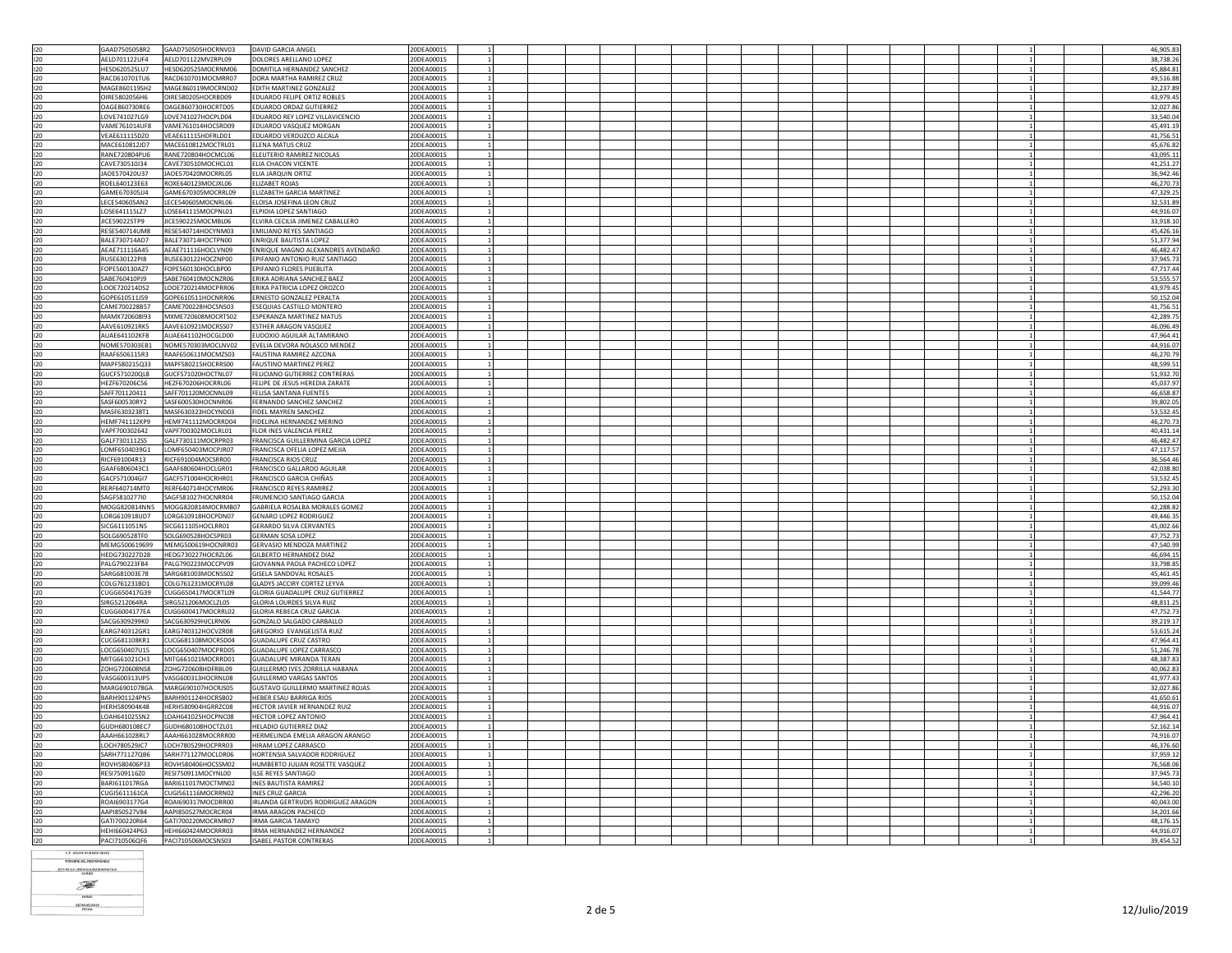|            | GAAD7505058R2                  | GAAD750505HOCRNV03                       | DAVID GARCIA ANGEL                                         | 20DEA0001S               |  |  |  |  |  |  |  |  | 46,905.83              |
|------------|--------------------------------|------------------------------------------|------------------------------------------------------------|--------------------------|--|--|--|--|--|--|--|--|------------------------|
| 120        |                                |                                          |                                                            |                          |  |  |  |  |  |  |  |  |                        |
| 120        | AELD701122UF4                  | AELD701122MVZRPL09                       | DOLORES ARELLANO LOPEZ                                     | 20DEA0001S               |  |  |  |  |  |  |  |  | 38,738.26              |
| 120        | HESD620525LU7                  | HESD620525MOCRNM06                       | DOMITILA HERNANDEZ SANCHEZ                                 | 20DEA0001S               |  |  |  |  |  |  |  |  | 45.884.83              |
| 120        | RACD610701TU6                  | RACD610701MOCMRR07                       | DORA MARTHA RAMIREZ CRUZ                                   | 20DEA0001S               |  |  |  |  |  |  |  |  | 49,516.88              |
|            |                                |                                          |                                                            |                          |  |  |  |  |  |  |  |  |                        |
| 120        | MAGE860119SH2                  | MAGE860119MOCRND02                       | EDITH MARTINEZ GONZALEZ                                    | 20DEA0001S               |  |  |  |  |  |  |  |  | 32.237.89              |
| 120        | OIRE5802056H6                  | OIRE580205HOCRBD09                       | EDUARDO FELIPE ORTIZ ROBLES                                | 20DEA0001S               |  |  |  |  |  |  |  |  | 43,979.45              |
| 120        | OAGE860730RE6                  | OAGE860730HOCRTD05                       | EDUARDO ORDAZ GUTIERREZ                                    | 20DEA0001S               |  |  |  |  |  |  |  |  | 32,027.86              |
| 120        | LOVE741027LG9                  | LOVE741027HOCPLD04                       | EDUARDO REY LOPEZ VILLAVICENCIO                            | 20DEA0001S               |  |  |  |  |  |  |  |  | 33,540.04              |
|            |                                |                                          |                                                            |                          |  |  |  |  |  |  |  |  |                        |
| 120        | <b>VAME761014UE8</b>           | VAME761014HOCSRD09                       | EDUARDO VASQUEZ MORGAN                                     | 20DEA0001S               |  |  |  |  |  |  |  |  | 45,491.19              |
| 120        | VEAE611115DZ0                  | VEAE611115HDFRLD01                       | EDUARDO VERDUZCO ALCALA                                    | 20DEA0001S               |  |  |  |  |  |  |  |  | 41,756.51              |
| 120        | MACE610812JD7                  | MACE610812MOCTRL01                       | ELENA MATUS CRUZ                                           | 20DEA0001S               |  |  |  |  |  |  |  |  | 45,676.82              |
|            |                                |                                          |                                                            |                          |  |  |  |  |  |  |  |  |                        |
| 120        | RANE720804PU6                  | RANE720804HOCMCL06                       | ELEUTERIO RAMIREZ NICOLAS                                  | 20DEA0001S               |  |  |  |  |  |  |  |  | 43,095.11              |
| 120        | CAVE730510J34                  | CAVE730510MOCHCL01                       | ELIA CHACON VICENTE                                        | 20DEA0001S               |  |  |  |  |  |  |  |  | 41,251.27              |
| 120        | JAOE570420U37                  | JAOE570420MOCRRL05                       | ELIA JARQUIN ORTIZ                                         | 20DEA0001S               |  |  |  |  |  |  |  |  | 36,942.46              |
| 120        | ROEL640123E63                  | ROXE640123MOCJXL06                       | ELIZABET ROJAS                                             | 20DEA0001S               |  |  |  |  |  |  |  |  | 46,270.73              |
|            |                                |                                          |                                                            |                          |  |  |  |  |  |  |  |  |                        |
| 120        | GAMF670305114                  | GAME670305MOCRRL09                       | <b>ELIZABETH GARCIA MARTINEZ</b>                           | 20DEA0001S               |  |  |  |  |  |  |  |  | 47,329.25              |
| 120        | LECE540605AN2                  | LECE540605MOCNRL06                       | ELOISA JOSEFINA LEON CRUZ                                  | 20DEA0001S               |  |  |  |  |  |  |  |  | 32.531.89              |
| 120        | LOSE641115L77                  | LOSE641115MOCPNL01                       | FLPIDIA LOPEZ SANTIAGO                                     | 20DEA0001S               |  |  |  |  |  |  |  |  | 44.916.07              |
| 120        | JICE590225TP9                  | JICE590225MOCMBL06                       | ELVIRA CECILIA JIMENEZ CABALLERO                           | 20DEA0001S               |  |  |  |  |  |  |  |  | 33,918.10              |
|            |                                |                                          |                                                            |                          |  |  |  |  |  |  |  |  |                        |
| 120        | RESE540714UM8                  | RESE540714HOCYNM03                       | EMILIANO REYES SANTIAGO                                    | 20DEA0001S               |  |  |  |  |  |  |  |  | 45,426.16              |
| 120        | BALE730714AD7                  | BALE730714HOCTPN00                       | <b>ENRIQUE BAUTISTA LOPEZ</b>                              | 20DEA0001S               |  |  |  |  |  |  |  |  | 51,377.94              |
| 120        | AEAE711116A45                  | AEAE711116HOCLVN09                       | ENRIQUE MAGNO ALEXANDRES AVENDAÑO                          | 20DEA0001S               |  |  |  |  |  |  |  |  | 46,482.47              |
|            |                                |                                          |                                                            |                          |  |  |  |  |  |  |  |  |                        |
| 120        | RUSE630122PI8                  | RUSE630122HOCZNP00                       | EPIFANIO ANTONIO RUIZ SANTIAGO                             | 20DEA0001S               |  |  |  |  |  |  |  |  | 37,945.73              |
| 120        | FOPE560130AZ7                  | FOPE560130HOCLBP00                       | EPIFANIO FLORES PUEBLITA                                   | 20DEA0001S               |  |  |  |  |  |  |  |  | 47,717.44              |
| 120        | SARF760410P19                  | SABE760410MOCNZR06                       | ERIKA ADRIANA SANCHEZ BAEZ                                 | 20DEA0001S               |  |  |  |  |  |  |  |  | 53,555.57              |
| 120        | LOOE720214DS2                  | LOOE720214MOCPRR06                       | ERIKA PATRICIA LOPEZ OROZCO                                | 20DEA0001S               |  |  |  |  |  |  |  |  | 43,979.45              |
|            |                                |                                          | <b>ERNESTO GONZALEZ PERALTA</b>                            |                          |  |  |  |  |  |  |  |  |                        |
| 120        | GOPE610511J59                  | GOPE610511HOCNRR06                       |                                                            | 20DEA0001S               |  |  |  |  |  |  |  |  | 50,152.04              |
| 120        | CAME700228B57                  | CAME700228HOCSNS03                       | ESEQUIAS CASTILLO MONTERO                                  | 20DEA0001S               |  |  |  |  |  |  |  |  | 41,756.51              |
| 120        | MAMX720608I93                  | MXME720608MOCRTS02                       | <b>ESPERANZA MARTINEZ MATUS</b>                            | 20DEA0001S               |  |  |  |  |  |  |  |  | 42.289.75              |
| 120        | AAVE610921RK5                  | AAVE610921MOCRSS07                       | ESTHER ARAGON VASQUEZ                                      | 20DEA0001S               |  |  |  |  |  |  |  |  | 46,096.49              |
|            |                                |                                          |                                                            |                          |  |  |  |  |  |  |  |  |                        |
| 120        | AUAE641102KF8                  | AUAE641102HOCGLD00                       | EUDOXIO AGUILAR ALTAMIRANO                                 | 20DEA0001S               |  |  |  |  |  |  |  |  | 47,964.4               |
| 120        | NOME570303EB1                  | NOME570303MOCLNV02                       | EVELIA DEVORA NOLASCO MENDEZ                               | 20DEA0001S               |  |  |  |  |  |  |  |  | 44,916.07              |
| 120        | RAAF6506115R3                  | RAAF650611MOCMZS03                       | FAUSTINA RAMIREZ AZCONA                                    | 20DEA0001S               |  |  |  |  |  |  |  |  | 46,270.79              |
|            |                                |                                          |                                                            |                          |  |  |  |  |  |  |  |  |                        |
| 120        | MAPF580215Q33                  | MAPF580215HOCRRS00                       | <b>FAUSTINO MARTINEZ PEREZ</b>                             | 20DEA0001S               |  |  |  |  |  |  |  |  | 48,599.51              |
| 120        | GUCF571020QL8                  | GUCF571020HOCTNL07                       | FELICIANO GUTIERREZ CONTRERAS                              | 20DEA0001S               |  |  |  |  |  |  |  |  | 51,932.70              |
| 120        | HEZF670206C56                  | HEZF670206HOCRRL06                       | FELIPE DE JESUS HEREDIA ZARATE                             | 20DEA0001S               |  |  |  |  |  |  |  |  | 45.037.97              |
| 120        | SAFF701120411                  | SAFF701120MOCNNL09                       | FELISA SANTANA FUENTES                                     | 20DEA0001S               |  |  |  |  |  |  |  |  | 46,658.87              |
|            |                                |                                          |                                                            |                          |  |  |  |  |  |  |  |  |                        |
| 120        | SASE600530RY2                  | SASF600530HOCNNR06                       | FERNANDO SANCHEZ SANCHEZ                                   | 20DEA0001S               |  |  |  |  |  |  |  |  | 39.802.05              |
| 120        | MASF6303238T1                  | MASF630323HOCYND03                       | FIDEL MAYREN SANCHEZ                                       | 20DEA0001S               |  |  |  |  |  |  |  |  | 53,532.45              |
| 120        | HEMF741112KP9                  | HEMF741112MOCRRD04                       | FIDELINA HERNANDEZ MERINO                                  | 20DEA0001S               |  |  |  |  |  |  |  |  | 46,270.7               |
| 120        | VAPF700302642                  | VAPF700302MOCLRL01                       | FLOR INES VALENCIA PEREZ                                   | 20DEA0001S               |  |  |  |  |  |  |  |  | 40,431.14              |
|            |                                |                                          |                                                            |                          |  |  |  |  |  |  |  |  |                        |
| 120        | GALF7301112S5                  | GALF730111MOCRPR03                       | FRANCISCA GUILLERMINA GARCIA LOPEZ                         | 20DEA0001S               |  |  |  |  |  |  |  |  | 46,482.47              |
|            |                                |                                          |                                                            |                          |  |  |  |  |  |  |  |  |                        |
|            |                                |                                          | FRANCISCA OFELIA LOPEZ MEJIA                               | 20DEA0001S               |  |  |  |  |  |  |  |  |                        |
| 120        | LOMF6504039G1                  | LOMF650403MOCPJR07                       |                                                            |                          |  |  |  |  |  |  |  |  | 47,117.57              |
| 120        | RICF691004R13                  | RICF691004MOCSRR00                       | FRANCISCA RIOS CRUZ                                        | 20DEA0001S               |  |  |  |  |  |  |  |  | 36,564.46              |
| 120        | GAAF6806043C1                  | GAAF680604HOCLGR01                       | FRANCISCO GALLARDO AGUILAR                                 | 20DEA0001S               |  |  |  |  |  |  |  |  | 42,038.80              |
| 120        | GACF571004GI7                  | GACF571004HOCRHR01                       | FRANCISCO GARCIA CHIÑAS                                    | 20DEA0001S               |  |  |  |  |  |  |  |  | 53,532.45              |
|            | RFRF640714MT0                  | RERE640714HOCYMR06                       |                                                            | 20DEA0001S               |  |  |  |  |  |  |  |  |                        |
| 120        |                                |                                          | FRANCISCO REYES RAMIREZ                                    |                          |  |  |  |  |  |  |  |  | 52,293.30              |
| 120        | SAGF5810277I0                  | SAGF581027HOCNRR04                       | FRUMENCIO SANTIAGO GARCIA                                  | 20DEA0001S               |  |  |  |  |  |  |  |  | 50,152.04              |
| 120        | MOGG820814NN5                  | MOGG820814MOCRMB07                       | GABRIELA ROSALBA MORALES GOMEZ                             | 20DEA0001S               |  |  |  |  |  |  |  |  | 42.288.82              |
| 120        | LORG610918UD7                  | LORG610918HOCPDN07                       | <b>GENARO LOPEZ RODRIGUEZ</b>                              | 20DEA0001S               |  |  |  |  |  |  |  |  | 49,446.35              |
| $120 -$    | SICG6111051N5                  |                                          |                                                            | 20DEA0001S               |  |  |  |  |  |  |  |  |                        |
|            |                                | SICG611105HOCLRR01                       | <b>GERARDO SILVA CERVANTES</b>                             |                          |  |  |  |  |  |  |  |  | 45.002.66              |
| 120        | SOLG690528TF0                  | SOLG690528HOCSPR03                       | GERMAN SOSA LOPEZ                                          | 20DEA0001S               |  |  |  |  |  |  |  |  | 47,752.73              |
| 120        | MEMG500619699                  | MEMG500619HOCNRR03                       | GERVASIO MENDOZA MARTINEZ                                  | 20DEA0001S               |  |  |  |  |  |  |  |  | 47,540.99              |
| 120        | HEDG730227D28                  | HEDG730227HOCRZL06                       | GILBERTO HERNANDEZ DIAZ                                    | 20DEA0001S               |  |  |  |  |  |  |  |  | 46,694.15              |
|            |                                |                                          |                                                            |                          |  |  |  |  |  |  |  |  |                        |
| 120        | PALG790223FB4                  | PALG790223MOCCPV09                       | GIOVANNA PAOLA PACHECO LOPEZ                               | 20DEA0001S               |  |  |  |  |  |  |  |  | 33,798.85              |
| 120        | SARG681003E78                  | SARG681003MOCNSS02                       | <b>GISELA SANDOVAL ROSALES</b>                             | 20DEA0001S               |  |  |  |  |  |  |  |  | 45,461.45              |
| 120        | COLG761231BD1                  | COLG761231MOCRYL08                       | <b>GLADYS JACCIRY CORTEZ LEYVA</b>                         | 20DEA0001S               |  |  |  |  |  |  |  |  | 39,099.46              |
| 120        | CUGG650417G39                  | CUGG650417MOCRTL09                       | <b>GLORIA GUADALUPE CRUZ GUTIERREZ</b>                     | 20DEA0001S               |  |  |  |  |  |  |  |  | 41.544.77              |
|            |                                |                                          |                                                            |                          |  |  |  |  |  |  |  |  |                        |
| 120        | SIRG5212064RA                  | SIRG521206MOCLZL05                       | <b>GLORIA LOURDES SILVA RUIZ</b>                           | 20DEA0001S               |  |  |  |  |  |  |  |  | 48,811.25              |
| 120        | CUGG6004177FA                  | CUGG600417MOCRRL02                       | <b>GLORIA REBECA CRUZ GARCIA</b>                           | 20DEA0001S               |  |  |  |  |  |  |  |  | 47.752.73              |
| 120        | SACG6309299K0                  | SACG630929HJCLRN06                       | GONZALO SALGADO CARBALLO                                   | 20DEA0001S               |  |  |  |  |  |  |  |  | 39,219.17              |
|            |                                |                                          |                                                            | 20DEA0001S               |  |  |  |  |  |  |  |  |                        |
| 120        | EARG740312GR1                  | EARG740312HOCVZR08                       | GREGORIO EVANGELISTA RUIZ                                  |                          |  |  |  |  |  |  |  |  | 53,615.24              |
| 120        | CUCG681108KR1                  | CUCG681108MOCRSD04                       | <b>GUADALUPE CRUZ CASTRO</b>                               | 20DEA0001S               |  |  |  |  |  |  |  |  | 47,964.41              |
| 120        | LOCG650407U15                  | LOCG650407MOCPRD05                       | <b>GUADALUPE LOPEZ CARRASCO</b>                            | 20DEA0001S               |  |  |  |  |  |  |  |  | 51,246.78              |
| 120        | MITG661021CH3                  | MITG661021MOCRRD01                       | <b>GUADALUPE MIRANDA TERAN</b>                             | 20DEA0001S               |  |  |  |  |  |  |  |  | 48.387.83              |
|            | ZOHG720608NS8                  | ZOHG720608HDFRBL09                       |                                                            |                          |  |  |  |  |  |  |  |  |                        |
| 120        |                                |                                          | GUILLERMO IVES ZORRILLA HABANA                             | 20DEA0001S               |  |  |  |  |  |  |  |  | 40,062.83              |
| 120        | VASG600313UP5                  | VASG600313HOCRNL08                       | <b>GUILLERMO VARGAS SANTOS</b>                             | 20DEA0001S               |  |  |  |  |  |  |  |  | 41,977.43              |
| 120        | MARG6901078GA                  | MARG690107HOCRJS05                       | GUSTAVO GUILLERMO MARTINEZ ROJAS                           | 20DEA0001S               |  |  |  |  |  |  |  |  | 32,027.86              |
| 120        | BARH901124PN5                  | BARH901124HOCRSB02                       | HEBER ESAU BARRIGA RIOS                                    | 20DEA0001S               |  |  |  |  |  |  |  |  | 41,650.61              |
| 120        | HERH580904K48                  | HERH580904HGRRZC08                       | HECTOR JAVIER HERNANDEZ RUIZ                               | 20DEA0001S               |  |  |  |  |  |  |  |  |                        |
|            |                                |                                          |                                                            |                          |  |  |  |  |  |  |  |  | 44,916.07              |
| 120        | LOAH641025SN2                  | LOAH641025HOCPNC08                       | <b>HECTOR LOPEZ ANTONIO</b>                                | 20DEA0001S               |  |  |  |  |  |  |  |  | 47,964.4               |
| 120        | GUDH680108EC7                  | GUDH680108HOCTZL01                       | <b>HELADIO GUTIERREZ DIAZ</b>                              | 20DEA0001S               |  |  |  |  |  |  |  |  | 52,162.14              |
| 120        | AAAH661028RL7                  | AAAH661028MOCRRR00                       | HERMELINDA EMELIA ARAGON ARANGO                            | 20DEA0001S               |  |  |  |  |  |  |  |  | 74.916.07              |
|            |                                |                                          |                                                            |                          |  |  |  |  |  |  |  |  |                        |
| 120        | LOCH780529JC7                  | LOCH780529HOCPRR03                       | HIRAM LOPEZ CARRASCO                                       | 20DEA0001S               |  |  |  |  |  |  |  |  | 46,376.60              |
| 120        | SARH771127QB6                  | SARH771127MOCLDR06                       | HORTENSIA SALVADOR RODRIGUEZ                               | 20DEA0001S               |  |  |  |  |  |  |  |  | 37,959.12              |
| 120        | ROVH580406P33                  | ROVH580406HOCSSM02                       | HUMBERTO JULIAN ROSETTE VASQUEZ                            | 20DEA0001S               |  |  |  |  |  |  |  |  | 76,568.06              |
| 120        | RESI7509116Z0                  | RESI750911MOCYNL00                       | <b>ILSE REYES SANTIAGO</b>                                 | 20DEA0001S               |  |  |  |  |  |  |  |  |                        |
|            |                                |                                          |                                                            |                          |  |  |  |  |  |  |  |  | 37,945.73              |
| 120        | <b>BARI611017RGA</b>           | BARI611017MOCTMN02                       | <b>INES BAUTISTA RAMIREZ</b>                               | 20DEA0001S               |  |  |  |  |  |  |  |  | 34,540.10              |
| 120        | CUGI5611161CA                  | CUGI561116MOCRRN02                       | <b>INES CRUZ GARCIA</b>                                    | 20DEA0001S               |  |  |  |  |  |  |  |  | 42,296.20              |
| 120        | ROAI6903177G4                  | ROAI690317MOCDRR00                       | IRLANDA GERTRUDIS RODRIGUEZ ARAGON                         | 20DEA0001S               |  |  |  |  |  |  |  |  | 40.043.00              |
| 120        | AAPI850527V84                  | AAPI850527MOCRCR04                       | <b>IRMA ARAGON PACHECO</b>                                 | 20DEA0001S               |  |  |  |  |  |  |  |  | 34.201.66              |
|            | GAT1700220R64                  |                                          | IRMA GARCIA TAMAYO                                         | 20DEA0001S               |  |  |  |  |  |  |  |  | 48.176.15              |
| 120        |                                | GATI700220MOCRMR07                       |                                                            |                          |  |  |  |  |  |  |  |  |                        |
| 120<br>120 | HEHI660424P63<br>PACI710506QF6 | HEHI660424MOCRRR03<br>PACI710506MOCSNS03 | IRMA HERNANDEZ HERNANDEZ<br><b>ISABEL PASTOR CONTRERAS</b> | 20DEA0001S<br>20DEA0001S |  |  |  |  |  |  |  |  | 44.916.07<br>39,454.52 |

**C.P. JAMER ITURBIDE REYES**<br>MOMBRE DEL RESPONSABLE

JEFE DE LA UNIDAD ADMINISTRATIVA

F  $\frac{1}{\text{mma}}$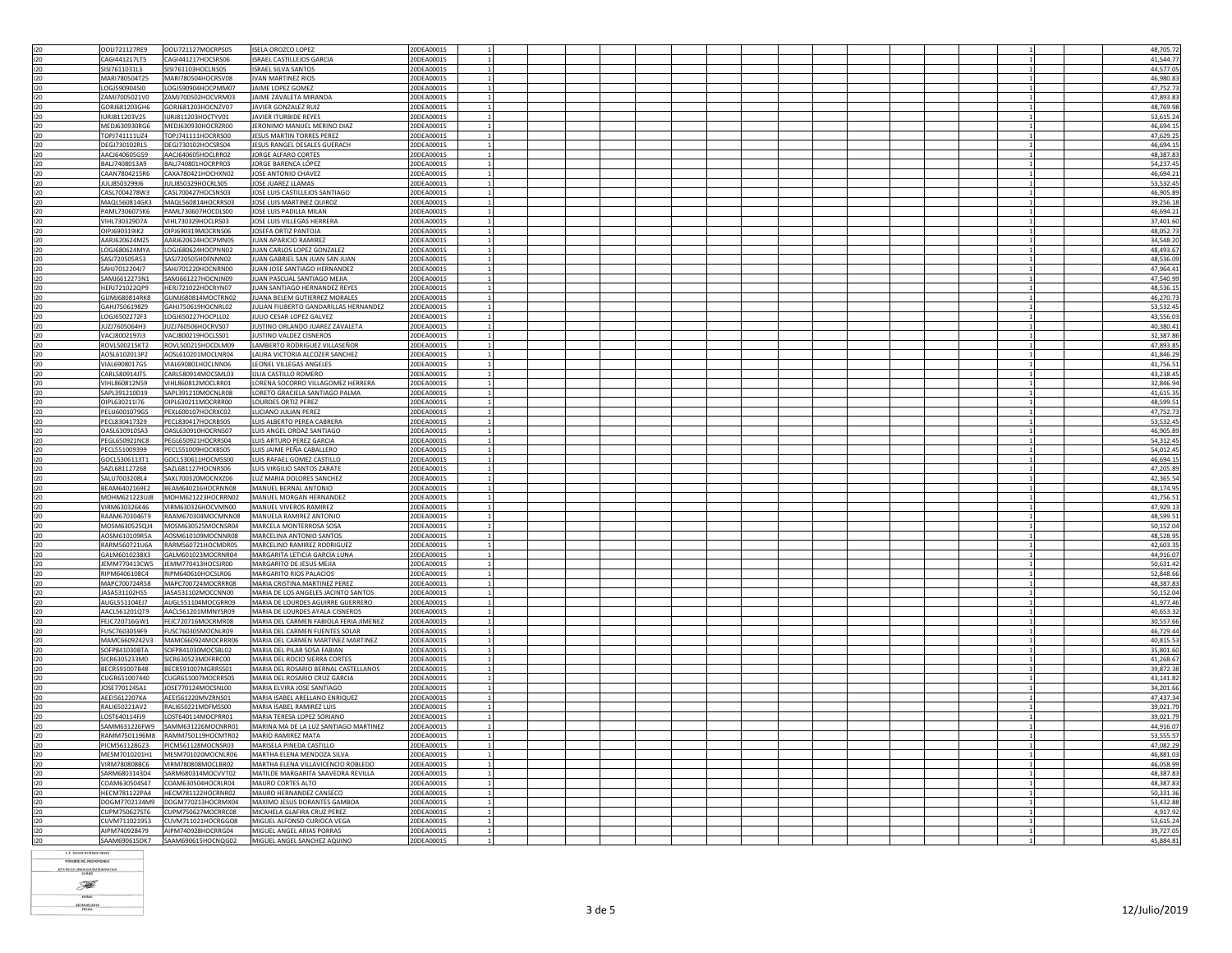|            | OOLI721127RE9                    | OOLI721127MOCRPS05                       | <b>ISELA OROZCO LOPEZ</b>                                | 20DEA0001S               |  |  |  | 48,705.72             |
|------------|----------------------------------|------------------------------------------|----------------------------------------------------------|--------------------------|--|--|--|-----------------------|
| 120        |                                  |                                          |                                                          |                          |  |  |  |                       |
| 120        | CAGI441217LT5                    | CAGI441217HOCSRS06                       | ISRAEL CASTILLEJOS GARCIA                                | 20DEA0001S               |  |  |  | 41,544.77             |
| 120        | SISI7611031L3                    | SISI761103HOCLNS05                       | <b>ISRAEL SILVA SANTOS</b>                               | 20DEA0001S               |  |  |  | 44,577.05             |
|            |                                  |                                          |                                                          |                          |  |  |  |                       |
| 120        | MARI780504T25                    | MARI780504HOCRSV08                       | <b>IVAN MARTINEZ RIOS</b>                                | 20DEA0001S               |  |  |  | 46.980.8              |
| 120        | 10G1590904510                    | LOGJ590904HOCPMM07                       | <b>IAIME LOPEZ GOMEZ</b>                                 | 20DEA0001S               |  |  |  | 47.752.7              |
| 120        | ZAMJ7005021V0                    | ZAMJ700502HOCVRM03                       | JAIME ZAVALETA MIRANDA                                   | 20DEA0001S               |  |  |  | 47,893.83             |
|            |                                  |                                          |                                                          |                          |  |  |  |                       |
| 120        | GORJ681203GH6                    | GORJ681203HOCNZV07                       | JAVIER GONZALEZ RUIZ                                     | 20DEA0001S               |  |  |  | 48,769.9              |
| 120        | IURJ811203V25                    | IURJ811203HOCTYV01                       | JAVIER ITURBIDE REYES                                    | 20DEA0001S               |  |  |  | 53,615.24             |
| 120        | MEDJ630930RG6                    | MEDJ630930HOCRZR00                       | JERONIMO MANUEL MERINO DIAZ                              | 20DEA0001S               |  |  |  | 46,694.1              |
|            |                                  |                                          |                                                          |                          |  |  |  |                       |
| 120        | TOPJ741111UZ4                    | TOPJ741111HOCRRS00                       | JESUS MARTIN TORRES PEREZ                                | 20DEA0001S               |  |  |  | 47,629.2              |
| 120        | DEGJ730102RL5                    | DEGJ730102HOCSRS04                       | JESUS RANGEL DESALES GUERACH                             | 20DEA0001S               |  |  |  | 46,694.15             |
| 120        | AACJ640605G59                    | AACJ640605HOCLRR02                       | JORGE ALFARO CORTES                                      | 20DEA0001S               |  |  |  | 48.387.8              |
|            |                                  |                                          |                                                          |                          |  |  |  |                       |
| 120        | BALJ7408013A9                    | BALJ740801HOCRPR03                       | JORGE BARENCA LÓPEZ                                      | 20DEA0001S               |  |  |  | 54,237.4              |
| 120        | CAAN7804215R6                    | CAXA780421HOCHXN02                       | JOSE ANTONIO CHAVEZ                                      | 20DEA0001S               |  |  |  | 46.694.2              |
| 120        | JULJ8503299J6                    | JULJ850329HOCRLS05                       | JOSE JUAREZ LLAMAS                                       | 20DEA0001S               |  |  |  | 53,532.4              |
|            |                                  |                                          |                                                          |                          |  |  |  |                       |
| 120        | CASL7004278W3                    | CASL700427HOCSNS03                       | JOSE LUIS CASTILLEJOS SANTIAGO                           | 20DEA0001S               |  |  |  | 46,905.8              |
| 120        | MAQL560814GK3                    | MAQL560814HOCRRS03                       | JOSE LUIS MARTINEZ QUIROZ                                | 20DEA0001S               |  |  |  | 39,256.1              |
| 120        | PAML7306075K6                    | PAML730607HOCDLS00                       | JOSE LUIS PADILLA MILAN                                  | 20DEA0001S               |  |  |  | 46,694.2              |
|            |                                  |                                          |                                                          |                          |  |  |  |                       |
| 120        | VIHL730329D7A                    | VIHL730329HOCLRS03                       | JOSE LUIS VILLEGAS HERRERA                               | 20DEA0001S               |  |  |  | 37,401.60             |
| 120        | OIPJ690319IK2                    | OIPJ690319MOCRNS06                       | JOSEFA ORTIZ PANTOJA                                     | 20DEA0001S               |  |  |  | 48,052.73             |
| 120        | AARJ620624MZ5                    | AARJ620624HOCPMN05                       | JUAN APARICIO RAMIREZ                                    | 20DEA0001S               |  |  |  | 34,548.2              |
|            |                                  |                                          |                                                          |                          |  |  |  |                       |
| 120        | LOGJ680624MYA                    | LOGJ680624HOCPNN02                       | JUAN CARLOS LOPEZ GONZALEZ                               | 20DEA0001S               |  |  |  | 48,493.6              |
| 120        | SASJ720505R53                    | SASJ720505HDFNNN02                       | JUAN GABRIEL SAN JUAN SAN JUAN                           | 20DEA0001S               |  |  |  | 48.536.0              |
| 120        | SAHJ7012204J7                    | SAHJ701220HOCNRN00                       | JUAN JOSE SANTIAGO HERNANDEZ                             | 20DEA0001S               |  |  |  | 47,964.4              |
|            |                                  |                                          |                                                          |                          |  |  |  |                       |
| 120        | SAMJ6612273N1                    | SAMJ661227HOCNJN09                       | JUAN PASCUAL SANTIAGO MEJIA                              | 20DEA0001S               |  |  |  | 47,540.9              |
| 120        | HERJ721022QP9                    | HERJ721022HOCRYN07                       | JUAN SANTIAGO HERNANDEZ REYES                            | 20DEA0001S               |  |  |  | 48,536.1              |
| 120        | GUMJ680814RK8                    | GUMJ680814MOCTRN02                       | JUANA BELEM GUTIERREZ MORALES                            | 20DEA0001S               |  |  |  | 46.270.7              |
|            |                                  |                                          |                                                          |                          |  |  |  |                       |
| 120        | GAHJ7506198Z9                    | GAHJ750619HOCNRL02                       | JULIAN FILIBERTO GANDARILLAS HERNANDEZ                   | 20DEA0001S               |  |  |  | 53,532.4              |
| 120        | LOGJ6502272F3                    | LOGJ650227HOCPLL02                       | JULIO CESAR LOPEZ GALVEZ                                 | 20DEA0001S               |  |  |  | 43,556.0              |
| 120        | JUZJ7605064H3                    | JUZJ760506HOCRVS07                       | JUSTINO ORLANDO JUAREZ ZAVALETA                          | 20DEA0001S               |  |  |  | 40.380.4              |
|            |                                  |                                          |                                                          |                          |  |  |  |                       |
| 120        | VACJ8002197J3                    | VACJ800219HOCLSS01                       | JUSTINO VALDEZ CISNEROS                                  | 20DEA0001S               |  |  |  | 32,387.8              |
| 120        | ROVL500215KT2                    | ROVL500215HOCDLM09                       | LAMBERTO RODRIGUEZ VILLASEÑOR                            | 20DEA0001S               |  |  |  | 47.893.8              |
| 120        | AOSL6102013P2                    | AOSL610201MOCLNR04                       | LAURA VICTORIA ALCOZER SANCHEZ                           | 20DEA0001S               |  |  |  | 41,846.2              |
|            |                                  |                                          |                                                          |                          |  |  |  |                       |
| 120        | VIAL6908017G5                    | VIAL690801HOCLNN06                       | LEONEL VILLEGAS ANGELES                                  | 20DEA0001S               |  |  |  | 41,756.5              |
| 120        | CARL580914JT5                    | CARL580914MOCSML03                       | LILIA CASTILLO ROMERO                                    | 20DEA0001S               |  |  |  | 43,238.45             |
| 120        | VIHL860812N59                    | VIHL860812MOCLRR01                       | LORENA SOCORRO VILLAGOMEZ HERRERA                        | 20DEA0001S               |  |  |  | 32.846.9              |
|            |                                  |                                          |                                                          |                          |  |  |  |                       |
| 120        | SAPL391210D19                    | SAPL391210MOCNLR08                       | LORETO GRACIELA SANTIAGO PALMA                           | 20DEA0001S               |  |  |  | 41.615.3              |
| 120        | OIPL630211I76                    | OIPL630211MOCRRR00                       | LOURDES ORTIZ PEREZ                                      | 20DEA0001S               |  |  |  | 48,599.5              |
|            |                                  |                                          |                                                          |                          |  |  |  |                       |
| 120        | PELU6001079G5                    | PEXL600107HOCRXC02                       | LUCIANO JULIAN PEREZ                                     | 20DEA0001S               |  |  |  | 47,752.7              |
| 120        | PECL830417329                    | PECL830417HOCRBS05                       | LUIS ALBERTO PEREA CABRERA                               | 20DEA0001S               |  |  |  | 53,532.4              |
| 120        | OASL630910SA3                    | OASL630910HOCRNS07                       | LUIS ANGEL ORDAZ SANTIAGO                                | 20DEA0001S               |  |  |  | 46.905.8              |
|            |                                  |                                          |                                                          |                          |  |  |  |                       |
| 120        | PEGL650921NC8                    | PEGL650921HOCRRS04                       | LUIS ARTURO PEREZ GARCIA                                 | 20DEA0001S               |  |  |  | 54,312.45             |
| 120        | PECL551009399                    | PECL551009HOCXBS05                       | LUIS JAIME PEÑA CABALLERO                                | 20DEA0001S               |  |  |  | 54.012.4              |
| 120        | GOCL5306113T1                    | GOCL530611HOCMSS00                       | LUIS RAFAEL GOMEZ CASTILLO                               | 20DEA0001S               |  |  |  | 46.694.1              |
|            |                                  |                                          |                                                          |                          |  |  |  |                       |
| 120        | SAZL681127268                    | SAZL681127HOCNRS06                       | LUIS VIRGILIO SANTOS ZARATE                              | 20DEA0001S               |  |  |  | 47.205.8              |
| 120        | SALU7003208L4                    | SAXL700320MOCNXZ06                       | LUZ MARIA DOLORES SANCHEZ                                | 20DEA0001S               |  |  |  | 42,365.54             |
| 120        | BEAM6402169E2                    | BEAM640216HOCRNN08                       | MANUEL BERNAL ANTONIO                                    | 20DEA0001S               |  |  |  | 48,174.95             |
|            |                                  |                                          |                                                          |                          |  |  |  |                       |
| 120        | MOHM621223UJ8                    | MOHM621223HOCRRN02                       | MANUEL MORGAN HERNANDEZ                                  | 20DEA0001S               |  |  |  | 41,756.5              |
| 120        | VIRM630326K46                    | VIRM630326HOCVMN00                       | MANUEL VIVEROS RAMIREZ                                   | 20DEA0001S               |  |  |  | 47,929.1              |
| 120        | RAAM6703046T9                    | RAAM670304MOCMNN08                       | MANUELA RAMIREZ ANTONIO                                  | 20DEA0001S               |  |  |  | 48,599.5              |
|            |                                  |                                          |                                                          |                          |  |  |  |                       |
| 120        |                                  |                                          | MARCELA MONTERROSA SOSA                                  | 20DEA0001S               |  |  |  | 50,152.0              |
| 120        | AOSM610109R5A                    | AOSM610109MOCNNR08                       | MARCELINA ANTONIO SANTOS                                 | 20DEA0001S               |  |  |  | 48.528.9              |
| 120        | RARM560721U6A                    | RARM560721HOCMDR05                       | MARCELINO RAMIREZ RODRIGUEZ                              | 20DEA0001S               |  |  |  |                       |
|            |                                  |                                          |                                                          |                          |  |  |  |                       |
| 120        |                                  | GALM6010238X3 GALM601023MOCRNR04         | MARGARITA I FTICIA GARCIA I UNA                          | 20DEA0001S               |  |  |  | 42,603.3              |
| 120        | JEMM770413CW5 JEMM770413HOCSJR00 |                                          |                                                          |                          |  |  |  | 44.916.0              |
| 120        | RIPM6406108C4                    |                                          | MARGARITO DE JESUS MEJIA                                 | 20DEA0001S               |  |  |  |                       |
|            |                                  |                                          |                                                          |                          |  |  |  | 50,631.42             |
| 120        |                                  | RIPM640610HOCSLR06                       | MARGARITO RIOS PALACIOS                                  | 20DEA0001S               |  |  |  | 52,848.66             |
|            | MAPC700724R58                    | MAPC700724MOCRRR08                       | MARIA CRISTINA MARTINEZ PEREZ                            | 20DEA0001S               |  |  |  | 48,387.8              |
| 120        | JASA531102HS5                    |                                          | MARIA DE LOS ANGELES JACINTO SANTOS                      | 20DEA0001S               |  |  |  | 50,152.0              |
|            |                                  | JASA531102MOCCNN00                       |                                                          |                          |  |  |  |                       |
| 120        | AUGL551104EJ7                    | AUGL551104MOCGRR09                       | MARIA DE LOURDES AGUIRRE GUERRERO                        | 20DEA0001S               |  |  |  | 41.977.4              |
| 120        | AACL561201QT9                    | AACL561201MMNYSR09                       | MARIA DE LOURDES AYALA CISNEROS                          | 20DEA0001S               |  |  |  | 40,653.3              |
| 120        | FEJC720716GW1                    | FEJC720716MOCRMR08                       | MARIA DEL CARMEN FABIOLA FERIA JIMENEZ                   | 20DEA0001S               |  |  |  | 30.557.6              |
|            |                                  |                                          |                                                          |                          |  |  |  |                       |
| 120        | FUSC7603059F9                    | FUSC760305MOCNLR09                       | MARIA DEL CARMEN FUENTES SOLAR                           | 20DEA0001S               |  |  |  | 46,729.4              |
| 120        | MAMC6609242V3                    | MAMC660924MOCRRR06                       | MARIA DEL CARMEN MARTINEZ MARTINEZ                       | 20DEA0001S               |  |  |  | 40.815.5              |
| 120        | SOFP841030BTA                    | SOFP841030MOCSBL02                       | MARIA DEL PILAR SOSA FABIAN                              | 20DEA0001S               |  |  |  | 35,801.6              |
|            |                                  |                                          |                                                          |                          |  |  |  |                       |
| 120        | SICR6305233M0                    | SICR630523MDFRRC00                       | MARIA DEL ROCIO SIERRA CORTES                            | 20DEA0001S               |  |  |  | 41,268.6              |
| 120        | BECR591007B48                    | BECR591007MGRRSS01                       | MARIA DEL ROSARIO BERNAL CASTELLANOS                     | 20DEA0001S               |  |  |  | 39,872.3              |
| 120        | CUGR651007440                    | CUGR651007MOCRRS05                       | MARIA DEL ROSARIO CRUZ GARCIA                            | 20DEA0001S               |  |  |  | 43,141.8              |
|            |                                  |                                          |                                                          |                          |  |  |  |                       |
| 120        | JOSE770124SA1                    | JOSE770124MOCSNL00                       | MARIA ELVIRA JOSE SANTIAGO                               | 20DEA0001S               |  |  |  | 34,201.6              |
| 120        | AEEI5612207KA                    | AEEI561220MVZRNS01                       | MARIA ISABEL ARELLANO ENRIQUEZ                           | 20DEA0001S               |  |  |  | 47,437.34             |
| 120        | RALI650221AV2                    | RALI650221MDFMSS00                       | MARIA ISABEL RAMIREZ LUIS                                | 20DEA0001S               |  |  |  | 39.021.7              |
|            |                                  |                                          |                                                          |                          |  |  |  |                       |
| 120        | LOST640114FJ9                    | LOST640114MOCPRR01                       | MARIA TERESA LOPEZ SORIANO                               | 20DEA0001S               |  |  |  | 39,021.7              |
| 120        |                                  | SAMM631226FW9 SAMM631226MOCNRR01         | MARINA MA DE LA LUZ SANTIAGO MARTINEZ                    | 20DEA0001S               |  |  |  | 44,916.0              |
| 120        |                                  | RAMM7501196M8 RAMM750119HOCMTR02         |                                                          | 20DEA0001S               |  |  |  | 53,555.5              |
|            |                                  |                                          | MARIO RAMIREZ MATA                                       |                          |  |  |  |                       |
| 120        |                                  | PICM561128GZ3 PICM561128MOCNSR03         | MARISELA PINEDA CASTILLO                                 | 20DEA0001S               |  |  |  | 47,082.2              |
| 120        |                                  | MESM7010201H1 MESM701020MOCNLR06         | MARTHA ELENA MENDOZA SILVA                               | 20DEA0001S               |  |  |  | 46,881.03             |
| 120        |                                  |                                          | MARTHA ELENA VILLAVICENCIO ROBLEDO                       | 20DEA0001S               |  |  |  | 46,058.9              |
|            |                                  | VIRM780808BC6 VIRM780808MOCLBR02         |                                                          |                          |  |  |  |                       |
| 120        | SARM6803143D4                    | SARM680314MOCVVT02                       | MATILDE MARGARITA SAAVEDRA REVILLA                       | 20DEA0001S               |  |  |  | 48.387.8              |
| 120        | COAM630504S47                    | COAM630504HOCRLR04                       | MAURO CORTES ALTO                                        | 20DEA0001S               |  |  |  | 48,387.83             |
| 120        | <b>HECM781122PA4</b>             | HECM781122HOCRNR02                       | MAURO HERNANDEZ CANSECO                                  | 20DEA0001S               |  |  |  | 50.331.3              |
|            |                                  |                                          |                                                          |                          |  |  |  |                       |
| 120        | DOGM7702134M9                    | DOGM770213HOCRMX04                       | MAXIMO JESUS DORANTES GAMBOA                             | 20DEA0001S               |  |  |  | 53,432.8              |
| 120        | CUPM750627ST6                    | CUPM750627MOCRRC08                       | MICAHELA GLAFIRA CRUZ PEREZ                              | 20DEA0001S               |  |  |  | 4.917.9               |
| 120        |                                  | CUVM711021953 CUVM711021HOCRGGO8         | MIGUEL ALFONSO CURIOCA VEGA                              | 20DEA0001S               |  |  |  | 53,615.2              |
|            |                                  |                                          |                                                          |                          |  |  |  |                       |
| 120<br>120 | AIPM740928479<br>SAAM690615DK7   | AIPM740928HOCRRG04<br>SAAM690615HOCNQG02 | MIGUEL ANGEL ARIAS PORRAS<br>MIGUEL ANGEL SANCHEZ AQUINO | 20DEA0001S<br>20DEA0001S |  |  |  | 39,727.0<br>45.884.81 |

**C.P. JAMER ITURBIDE REYES**<br>MOMBRE DEL RESPONSABLE

JEFE DE LA UNIDAD ADMINISTRATIVA F  $\frac{1}{\text{mma}}$ 12/AULIO/2019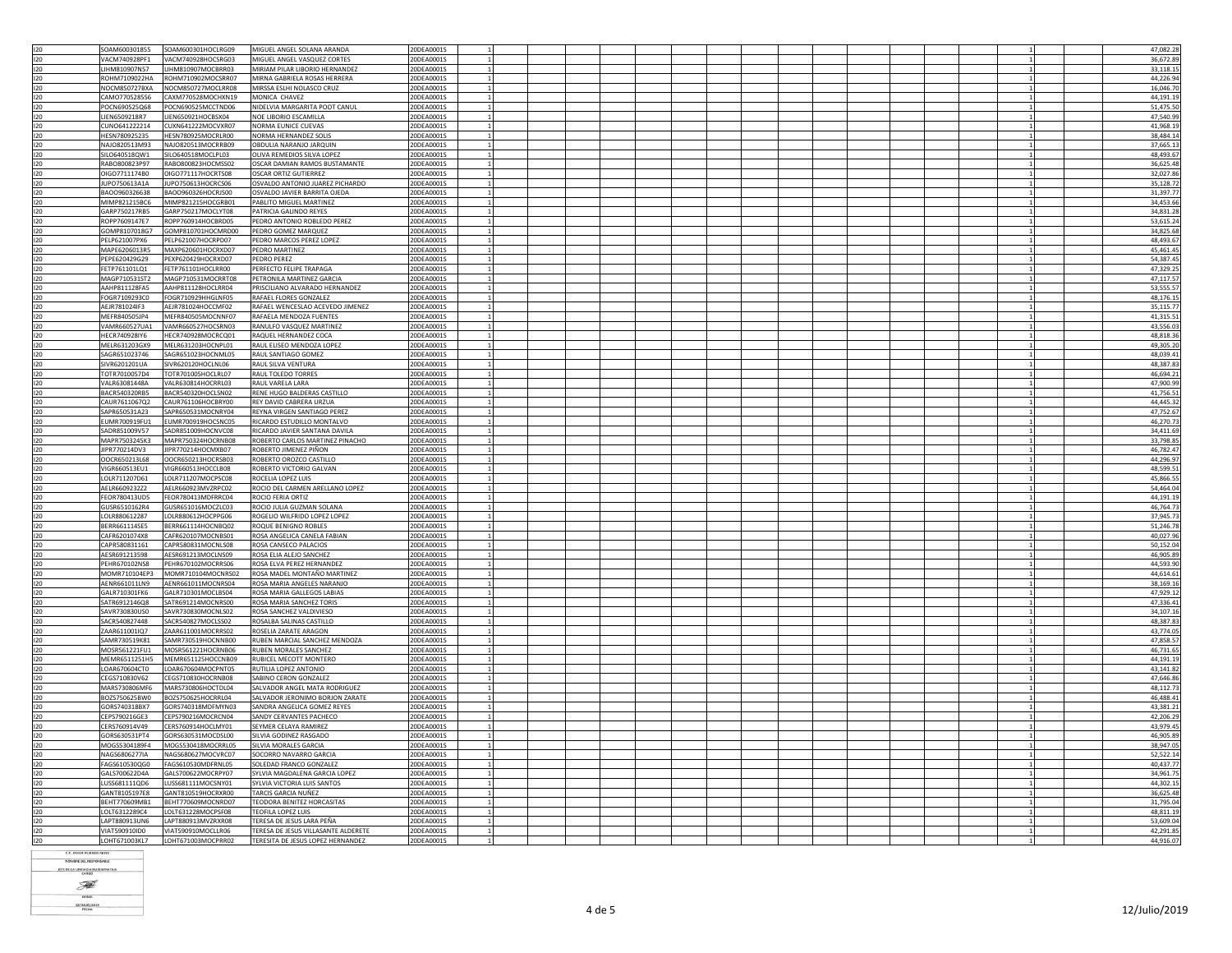| 120        | SOAM600301855                  | SOAM600301HOCLRG09                       | MIGUEL ANGEL SOLANA ARANDA                                               | 20DEA0001S               |  |  |  |  |  |  |  |  | 47.082.28              |
|------------|--------------------------------|------------------------------------------|--------------------------------------------------------------------------|--------------------------|--|--|--|--|--|--|--|--|------------------------|
|            | VACM740928PF1                  | VACM740928HOCSRG03                       | MIGUEL ANGEL VASQUEZ CORTES                                              | 20DEA0001S               |  |  |  |  |  |  |  |  | 36.672.89              |
| 120        |                                |                                          |                                                                          |                          |  |  |  |  |  |  |  |  |                        |
| 120        | LIHM810907N57                  | LIHM810907MOCBRR03                       | MIRIAM PILAR LIBORIO HERNANDEZ                                           | 20DEA0001S               |  |  |  |  |  |  |  |  | 33,118.15              |
| 120        | ROHM7109022HA                  | ROHM710902MOCSRR07                       | MIRNA GABRIELA ROSAS HERRERA                                             | 20DEA0001S               |  |  |  |  |  |  |  |  | 44,226.94              |
| 120        | NOCM850727BXA                  | NOCM850727MOCLRR08                       | MIRSSA ESLHI NOLASCO CRUZ                                                | 20DEA0001S               |  |  |  |  |  |  |  |  | 16.046.70              |
| 120        | CAMO770528556                  | CAXM770528MOCHXN19                       | MONICA CHAVEZ                                                            | 20DEA0001S               |  |  |  |  |  |  |  |  | 44,191.19              |
|            |                                |                                          |                                                                          |                          |  |  |  |  |  |  |  |  |                        |
| 120        | POCN690525Q68                  | POCN690525MCCTND06                       | NIDELVIA MARGARITA POOT CANUL                                            | 20DEA0001S               |  |  |  |  |  |  |  |  | 51,475.50              |
| 120        | LIEN6509218R7                  | IEN650921HOCBSX04                        | NOE LIBORIO ESCAMILLA                                                    | 20DEA0001S               |  |  |  |  |  |  |  |  | 47,540.99              |
| 120        | CUNO641222214                  | CUXN641222MOCVXR07                       | NORMA EUNICE CUEVAS                                                      | 20DEA0001S               |  |  |  |  |  |  |  |  | 41.968.19              |
| 120        | HESN780925235                  | HESN780925MOCRLR00                       | NORMA HERNANDEZ SOLIS                                                    | 20DEA0001S               |  |  |  |  |  |  |  |  | 38.484.14              |
| 120        | NAIO820513M93                  | NAIO820513MOCRRB09                       | OBDULLA NARANJO JAROUIN                                                  | 20DEA0001S               |  |  |  |  |  |  |  |  | 37.665.13              |
|            |                                |                                          |                                                                          |                          |  |  |  |  |  |  |  |  |                        |
| 120        | SILO640518QW1                  | SILO640518MOCLPL03                       | OLIVA REMEDIOS SILVA LOPEZ                                               | 20DEA0001S               |  |  |  |  |  |  |  |  | 48,493.67              |
| 120        | RABO800823P97                  | RABO800823HOCMSS02                       | OSCAR DAMIAN RAMOS BUSTAMANTE                                            | 20DEA0001S               |  |  |  |  |  |  |  |  | 36,625.48              |
| 120        | OIGO7711174B0                  | OIGO771117HOCRTS08                       | OSCAR ORTIZ GUTIERREZ                                                    | 20DEA0001S               |  |  |  |  |  |  |  |  | 32,027.86              |
| 120        | JUPO750613A1A                  | JUPO750613HOCRCS06                       | OSVALDO ANTONIO JUAREZ PICHARDO                                          | 20DEA0001S               |  |  |  |  |  |  |  |  |                        |
|            |                                |                                          |                                                                          |                          |  |  |  |  |  |  |  |  | 35,128.72              |
| 120        | BAOO960326638                  | BAOO960326HOCRJS00                       | OSVALDO JAVIER BARRITA OJEDA                                             | 20DEA0001S               |  |  |  |  |  |  |  |  | 31.397.7               |
| 120        | MIMP821215BC6                  | MIMP821215HOCGRB01                       | PABLITO MIGUEL MARTINEZ                                                  | 20DEA0001S               |  |  |  |  |  |  |  |  | 34,453.66              |
| 120        | GARP750217RB5                  | GARP750217MOCLYT08                       | PATRICIA GALINDO REYES                                                   | 20DEA0001S               |  |  |  |  |  |  |  |  | 34.831.28              |
|            | ROPP7609147E7                  | ROPP760914HOCBRD05                       | PEDRO ANTONIO ROBLEDO PEREZ                                              | 20DEA0001S               |  |  |  |  |  |  |  |  | 53.615.24              |
| 120        |                                |                                          |                                                                          |                          |  |  |  |  |  |  |  |  |                        |
| 120        | GOMP8107018G7                  | GOMP810701HOCMRD00                       | PEDRO GOMEZ MAROUEZ                                                      | 20DEA0001S               |  |  |  |  |  |  |  |  | 34.825.68              |
| 120        | PELP621007PX6                  | PELP621007HOCRPD07                       | PEDRO MARCOS PEREZ LOPEZ                                                 | 20DEA0001S               |  |  |  |  |  |  |  |  | 48,493.67              |
| 120        | MAPE6206013R5                  | MAXP620601HOCRXD07                       | PEDRO MARTINEZ                                                           | 20DEA0001S               |  |  |  |  |  |  |  |  | 45,461.45              |
| 120        | PEPE620429G29                  | PEXP620429HOCRXD07                       | PEDRO PEREZ                                                              | 20DEA0001S               |  |  |  |  |  |  |  |  | 54,387.45              |
|            |                                |                                          |                                                                          |                          |  |  |  |  |  |  |  |  |                        |
| 120        | FETP761101LO1                  | FETP761101HOCLRR00                       | PERFECTO FELIPE TRAPAGA                                                  | 20DEA0001S               |  |  |  |  |  |  |  |  | 47,329.25              |
| 120        | MAGP710531ST2                  | MAGP710531MOCRRT08                       | PETRONILA MARTINEZ GARCIA                                                | 20DEA0001S               |  |  |  |  |  |  |  |  | 47.117.57              |
| 120        | AAHP811128FA5                  | AAHP811128HOCLRR04                       | PRISCILIANO ALVARADO HERNANDEZ                                           | 20DEA0001S               |  |  |  |  |  |  |  |  | 53,555.5               |
| 120        | FOGR7109293C0                  | FOGR710929HHGLNF05                       | RAFAEL FLORES GONZALEZ                                                   | 20DEA0001S               |  |  |  |  |  |  |  |  | 48.176.19              |
|            |                                |                                          |                                                                          |                          |  |  |  |  |  |  |  |  |                        |
| 120        | AEJR781024IF3                  | AEJR781024HOCCMF02                       | RAFAEL WENCESLAO ACEVEDO JIMENEZ                                         | 20DEA0001S               |  |  |  |  |  |  |  |  | 35,115.77              |
| 120        | MFFR840505JP4                  | MFFR840505MOCNNF07                       | RAFAFI A MENDOZA FUENTES                                                 | 20DEA0001S               |  |  |  |  |  |  |  |  | 41,315.5               |
| 120        | VAMR660527UA1                  | VAMR660527HOCSRN03                       | RANULFO VASQUEZ MARTINEZ                                                 | 20DEA0001S               |  |  |  |  |  |  |  |  | 43,556.03              |
| 120        | HECR740928IY6                  |                                          | RAQUEL HERNANDEZ COCA                                                    |                          |  |  |  |  |  |  |  |  | 48,818.36              |
|            |                                | HECR740928MOCRCQ01                       |                                                                          | 20DEA0001S               |  |  |  |  |  |  |  |  |                        |
| 120        | MELR631203GX9                  | MELR631203HOCNPL01                       | RAUL ELISEO MENDOZA LOPEZ                                                | 20DEA0001S               |  |  |  |  |  |  |  |  | 49,305.20              |
| 120        | SAGR651023746                  | SAGR651023HOCNML05                       | RAUL SANTIAGO GOMEZ                                                      | 20DEA0001S               |  |  |  |  |  |  |  |  | 48.039.43              |
| 120        | SIVR6201201UA                  | SIVR620120HOCLNL06                       | RAUL SILVA VENTURA                                                       | 20DEA0001S               |  |  |  |  |  |  |  |  | 48.387.83              |
|            |                                |                                          |                                                                          |                          |  |  |  |  |  |  |  |  |                        |
| 120        | TOTR7010057D4                  | TOTR701005HOCLRL07                       | RAUL TOLEDO TORRES                                                       | 20DEA0001S               |  |  |  |  |  |  |  |  | 46,694.2               |
| 120        | VALR63081448A                  | VALR630814HOCRRL03                       | RAUL VARELA LARA                                                         | 20DEA0001S               |  |  |  |  |  |  |  |  | 47,900.99              |
| 120        | BACR540320RB5                  | BACR540320HOCLSN02                       | RENE HUGO BALDERAS CASTILLO                                              | 20DEA0001S               |  |  |  |  |  |  |  |  | 41,756.53              |
| 120        | CAUR7611067Q2                  | CAUR761106HOCBRY00                       | REY DAVID CABRERA URZUA                                                  | 20DEA0001S               |  |  |  |  |  |  |  |  | 44,445.32              |
| 120        | SAPR650531A23                  | SAPR650531MOCNRY04                       | REYNA VIRGEN SANTIAGO PEREZ                                              | 20DEA0001S               |  |  |  |  |  |  |  |  | 47,752.67              |
|            |                                |                                          |                                                                          |                          |  |  |  |  |  |  |  |  |                        |
| 120        | EUMR700919FU1                  | EUMR700919HOCSNC05                       | RICARDO ESTUDILLO MONTALVO                                               | 20DEA0001S               |  |  |  |  |  |  |  |  | 46,270.73              |
| 120        | SADR851009V57                  | SADR851009HOCNVC08                       | RICARDO JAVIER SANTANA DAVILA                                            | 20DEA0001S               |  |  |  |  |  |  |  |  | 34,411.69              |
| 120        | MAPR7503245K3                  | MAPR750324HOCRNB08                       | ROBERTO CARLOS MARTINEZ PINACHO                                          | 20DEA0001S               |  |  |  |  |  |  |  |  | 33,798.85              |
|            |                                |                                          |                                                                          |                          |  |  |  |  |  |  |  |  |                        |
|            |                                |                                          |                                                                          |                          |  |  |  |  |  |  |  |  |                        |
| 120        | JIPR770214DV3                  | JIPR770214HOCMXB07                       | ROBERTO JIMENEZ PIÑON                                                    | 20DEA0001S               |  |  |  |  |  |  |  |  | 46,782.47              |
| 120        | OOCR650213L68                  | OOCR650213HOCRSB03                       | ROBERTO OROZCO CASTILLO                                                  | 20DEA0001S               |  |  |  |  |  |  |  |  | 44,296.9               |
| 120        | VIGR660513EU1                  | VIGR660513HOCCLB08                       | ROBERTO VICTORIO GALVAN                                                  | 20DEA0001S               |  |  |  |  |  |  |  |  | 48,599.51              |
| 120        |                                |                                          |                                                                          |                          |  |  |  |  |  |  |  |  |                        |
|            | LOLR711207D61                  | LOLR711207MOCPSC08                       | ROCELIA LOPEZ LUIS                                                       | 20DEA0001S               |  |  |  |  |  |  |  |  | 45,866.55              |
| 120        | AELR6609232Z2                  | AELR660923MVZRPC02                       | ROCIO DEL CARMEN ARELLANO LOPEZ                                          | 20DEA0001S               |  |  |  |  |  |  |  |  | 54,464.04              |
| 120        | FEOR780413UD5                  | FEOR780413MDFRRC04                       | ROCIO FERIA ORTIZ                                                        | 20DEA0001S               |  |  |  |  |  |  |  |  | 44,191.19              |
| 120        | GUSR6510162R4                  | GUSR651016MOCZLC03                       | ROCIO JULIA GUZMAN SOLANA                                                | 20DEA0001S               |  |  |  |  |  |  |  |  | 46.764.73              |
|            |                                |                                          |                                                                          |                          |  |  |  |  |  |  |  |  |                        |
| 120        | LOLR880612287                  | LOLR880612HOCPPG06                       | ROGELIO WILFRIDO LOPEZ LOPEZ                                             | 20DEA0001S               |  |  |  |  |  |  |  |  | 37,945.73              |
| 120        | BERR661114SF5                  | BERR661114HOCNBO02                       | ROOUF BENIGNO ROBLES                                                     | 20DEA0001S               |  |  |  |  |  |  |  |  | 51.246.78              |
| 120        | CAFR6201074X8                  | CAFR620107MOCNBS01                       | ROSA ANGELICA CANELA FABIAN                                              | 20DEA0001S               |  |  |  |  |  |  |  |  | 40,027.96              |
| 120        | CAPR580831161                  | CAPR580831MOCNLS08                       | ROSA CANSECO PALACIOS                                                    | 20DEA0001S               |  |  |  |  |  |  |  |  | 50,152.04              |
| 120        |                                |                                          |                                                                          | 20DEA0001S               |  |  |  |  |  |  |  |  |                        |
|            | AESR691213598                  | AESR691213MOCLNS09                       | ROSA ELIA ALEJO SANCHEZ                                                  |                          |  |  |  |  |  |  |  |  | 46,905.89              |
| 120        | PEHR670102NS8                  | PEHR670102MOCRRS06                       | ROSA FIVA PERFZ HERNANDEZ                                                | 20DEA0001S               |  |  |  |  |  |  |  |  | 44,593.90              |
| 120        | MOMR710104EP3                  | MOMR710104MOCNRS02                       | ROSA MADEL MONTAÑO MARTINEZ                                              | 20DEA0001S               |  |  |  |  |  |  |  |  | 44,614.61              |
| 120        | AENR661011LN9                  | AENR661011MOCNRS04                       | ROSA MARIA ANGELES NARANJO                                               | 20DEA0001S               |  |  |  |  |  |  |  |  | 38,169.16              |
| 120        | GALR710301FK6                  | GALR710301MOCLBS04                       | ROSA MARIA GALLEGOS LABIAS                                               | 20DEA0001S               |  |  |  |  |  |  |  |  | 47.929.12              |
| 120        | SATR6912146Q8                  |                                          |                                                                          | 20DEA0001S               |  |  |  |  |  |  |  |  | 47.336.43              |
|            |                                | SATR691214MOCNRS00                       | ROSA MARIA SANCHEZ TORIS                                                 |                          |  |  |  |  |  |  |  |  |                        |
| 120        | SAVR730830US0                  | SAVR730830MOCNLS02                       | ROSA SANCHEZ VALDIVIESO                                                  | 20DEA0001S               |  |  |  |  |  |  |  |  | 34,107.16              |
| 120        | SACR540827448                  | SACR540827MOCLSS02                       | ROSALBA SALINAS CASTILLO                                                 | 20DEA0001S               |  |  |  |  |  |  |  |  | 48,387.83              |
| 120        | ZAAR611001IQ7                  | ZAAR611001MOCRRS02                       | ROSELIA ZARATE ARAGON                                                    | 20DEA0001S               |  |  |  |  |  |  |  |  | 43,774.05              |
|            | SAMR730519K81                  | SAMR730519HOCNNB00                       | RUBEN MARCIAL SANCHEZ MENDOZA                                            | 20DEA0001S               |  |  |  |  |  |  |  |  |                        |
| 120        |                                | MOSR561221HOCRNB06                       | <b>RUBEN MORALES SANCHEZ</b>                                             | 20DEA0001S               |  |  |  |  |  |  |  |  | 47,858.57              |
| 120        | MOSR561221FU1                  |                                          |                                                                          |                          |  |  |  |  |  |  |  |  | 46.731.69              |
| 120        | MEMR6511251H5                  | MEMR651125HOCCNB09                       | RUBICEL MECOTT MONTERO                                                   | 20DEA0001S               |  |  |  |  |  |  |  |  | 44.191.19              |
| 120        | LOAR670604CT0                  | LOAR670604MOCPNT05                       | RUTILIA LOPEZ ANTONIO                                                    | 20DEA0001S               |  |  |  |  |  |  |  |  | 43,141.82              |
| 120        | CEGS710830V62                  | CEGS710830HOCRNB08                       | SABINO CERON GONZALEZ                                                    | 20DEA0001S               |  |  |  |  |  |  |  |  | 47.646.86              |
|            |                                |                                          |                                                                          |                          |  |  |  |  |  |  |  |  |                        |
| 120        | MARS730806MF6                  | MARS730806HOCTDL04                       | SALVADOR ANGEL MATA RODRIGUEZ                                            | 20DEA0001S               |  |  |  |  |  |  |  |  | 48,112.73              |
| 120        | BOZS750625BW0                  | BOZS750625HOCRRL04                       | SALVADOR JERONIMO BORJON ZARATE                                          | 20DEA0001S               |  |  |  |  |  |  |  |  | 46,488.4               |
| 120        | GORS740318BX7                  | GORS740318MDFMYN03                       | SANDRA ANGELICA GOMEZ REYES                                              | 20DEA0001S               |  |  |  |  |  |  |  |  | 43,381.21              |
| 120        | CEPS790216GE3                  | CEPS790216MOCRCN04                       | SANDY CERVANTES PACHECO                                                  | 20DEA0001S               |  |  |  |  |  |  |  |  | 42,206.29              |
|            | CERS760914V49                  | CERS760914HOCLMY01                       | SEYMER CELAYA RAMIREZ                                                    | 20DEA0001S               |  |  |  |  |  |  |  |  |                        |
| 120        |                                |                                          |                                                                          |                          |  |  |  |  |  |  |  |  | 43,979.45              |
| 120        | GORS630531PT4                  | GORS630531MOCDSL00                       | SILVIA GODINEZ RASGADO                                                   | 20DEA0001S               |  |  |  |  |  |  |  |  | 46.905.89              |
| 120        | MOGS5304189F4                  | MOGS530418MOCRRL05                       | SILVIA MORALES GARCIA                                                    | 20DEA0001S               |  |  |  |  |  |  |  |  | 38,947.05              |
| 120        | NAGS6806277IA                  | NAGS680627MOCVRC07                       | SOCORRO NAVARRO GARCIA                                                   | 20DEA0001S               |  |  |  |  |  |  |  |  | 52,522.14              |
| 120        | FAGS610530QG0                  | FAGS610530MDFRNL05                       | SOLEDAD FRANCO GONZALEZ                                                  | 20DEA0001S               |  |  |  |  |  |  |  |  | 40,437.77              |
|            |                                |                                          |                                                                          |                          |  |  |  |  |  |  |  |  |                        |
| 120        | GALS700622D4A                  | GALS700622MOCRPY07                       | SYLVIA MAGDALENA GARCIA LOPEZ                                            | 20DEA0001S               |  |  |  |  |  |  |  |  | 34,961.75              |
| 120        | LUSS681111QD6                  | LUSS681111MOCSNY01                       | SYLVIA VICTORIA LUIS SANTOS                                              | 20DEA0001S               |  |  |  |  |  |  |  |  | 44.302.1               |
| 120        | GANT8105197E8                  | GANT810519HOCRXR00                       | TARCIS GARCIA NUÑEZ                                                      | 20DEA0001S               |  |  |  |  |  |  |  |  | 36,625.48              |
| 120        | BEHT770609MB1                  | BEHT770609MOCNRD07                       | TEODORA BENITEZ HORCASITAS                                               | 20DEA0001S               |  |  |  |  |  |  |  |  | 31.795.04              |
| 120        | LOLT6312289C4                  | LOLT631228MOCPSF08                       | TEOFILA LOPEZ LUIS                                                       | 20DEA0001S               |  |  |  |  |  |  |  |  | 48.811.19              |
|            |                                |                                          |                                                                          |                          |  |  |  |  |  |  |  |  |                        |
| 120        | LAPT880913UN6                  | LAPT880913MV7RXR08                       | TERESA DE JESUS LARA PEÑA                                                | 20DEA0001S               |  |  |  |  |  |  |  |  | 53.609.04              |
| 120<br>120 | VIAT590910ID0<br>LOHT671003KL7 | VIAT590910MOCLLR06<br>LOHT671003MOCPRR02 | TERESA DE JESUS VILLASANTE ALDERETE<br>TERESITA DE JESUS LOPEZ HERNANDEZ | 20DEA0001S<br>20DEA0001S |  |  |  |  |  |  |  |  | 42,291.85<br>44,916.07 |

C.P. JAVIER ITURBIDE REYES<br>NOMBRE DEL RESPONSABLE

JEFE DE LA UNIDAD ADMINISTRATIVA F  $\frac{1}{\text{mma}}$ 

12/AULIO/2019